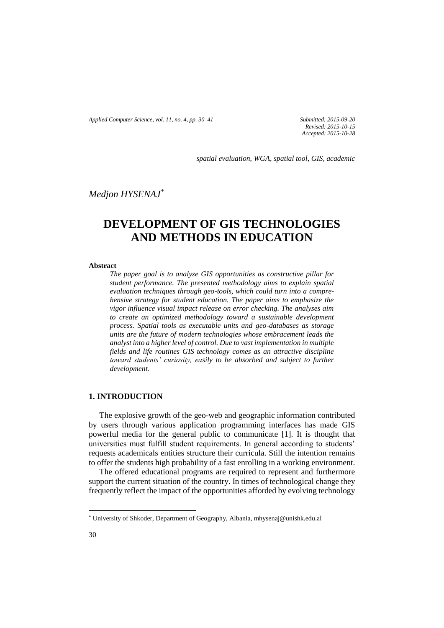*Applied Computer Science, vol. 11, no. 4, pp. 30–41 Submitted: 2015-09-20*

*Revised: 2015-10-15 Accepted: 2015-10-28*

*spatial evaluation, WGA, spatial tool, GIS, academic*

*Medjon HYSENAJ\**

# **DEVELOPMENT OF GIS TECHNOLOGIES AND METHODS IN EDUCATION**

#### **Abstract**

*The paper goal is to analyze GIS opportunities as constructive pillar for student performance. The presented methodology aims to explain spatial evaluation techniques through geo-tools, which could turn into a comprehensive strategy for student education. The paper aims to emphasize the vigor influence visual impact release on error checking. The analyses aim to create an optimized methodology toward a sustainable development process. Spatial tools as executable units and geo-databases as storage units are the future of modern technologies whose embracement leads the analyst into a higher level of control. Due to vast implementation in multiple fields and life routines GIS technology comes as an attractive discipline toward students' curiosity, easily to be absorbed and subject to further development.*

#### **1. INTRODUCTION**

The explosive growth of the geo-web and geographic information contributed by users through various application programming interfaces has made GIS powerful media for the general public to communicate [1]. It is thought that universities must fulfill student requirements. In general according to students' requests academicals entities structure their curricula. Still the intention remains to offer the students high probability of a fast enrolling in a working environment.

The offered educational programs are required to represent and furthermore support the current situation of the country. In times of technological change they frequently reflect the impact of the opportunities afforded by evolving technology

l

<sup>\*</sup> University of Shkoder, Department of Geography, Albania, mhysenaj@unishk.edu.al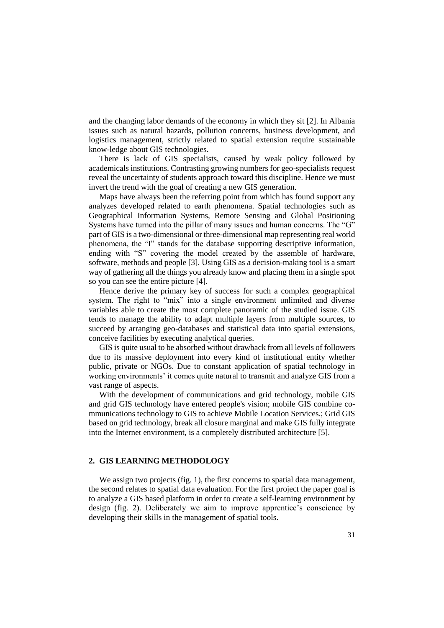and the changing labor demands of the economy in which they sit [2]. In Albania issues such as natural hazards, pollution concerns, business development, and logistics management, strictly related to spatial extension require sustainable know-ledge about GIS technologies.

There is lack of GIS specialists, caused by weak policy followed by academicals institutions. Contrasting growing numbers for geo-specialists request reveal the uncertainty of students approach toward this discipline. Hence we must invert the trend with the goal of creating a new GIS generation.

Maps have always been the referring point from which has found support any analyzes developed related to earth phenomena. Spatial technologies such as Geographical Information Systems, Remote Sensing and Global Positioning Systems have turned into the pillar of many issues and human concerns. The "G" part of GIS is a two-dimensional or three-dimensional map representing real world phenomena, the "I" stands for the database supporting descriptive information, ending with "S" covering the model created by the assemble of hardware, software, methods and people [3]. Using GIS as a decision-making tool is a smart way of gathering all the things you already know and placing them in a single spot so you can see the entire picture [4].

Hence derive the primary key of success for such a complex geographical system. The right to "mix" into a single environment unlimited and diverse variables able to create the most complete panoramic of the studied issue. GIS tends to manage the ability to adapt multiple layers from multiple sources, to succeed by arranging geo-databases and statistical data into spatial extensions, conceive facilities by executing analytical queries.

GIS is quite usual to be absorbed without drawback from all levels of followers due to its massive deployment into every kind of institutional entity whether public, private or NGOs. Due to constant application of spatial technology in working environments' it comes quite natural to transmit and analyze GIS from a vast range of aspects.

With the development of communications and grid technology, mobile GIS and grid GIS technology have entered people's vision; mobile GIS combine communications technology to GIS to achieve Mobile Location Services.; Grid GIS based on grid technology, break all closure marginal and make GIS fully integrate into the Internet environment, is a completely distributed architecture [5].

### **2. GIS LEARNING METHODOLOGY**

We assign two projects (fig. 1), the first concerns to spatial data management, the second relates to spatial data evaluation. For the first project the paper goal is to analyze a GIS based platform in order to create a self-learning environment by design (fig. 2). Deliberately we aim to improve apprentice's conscience by developing their skills in the management of spatial tools.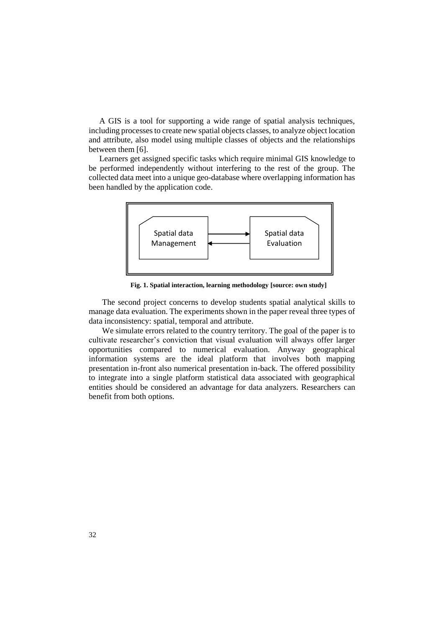A GIS is a tool for supporting a wide range of spatial analysis techniques, including processes to create new spatial objects classes, to analyze object location and attribute, also model using multiple classes of objects and the relationships between them [6].

Learners get assigned specific tasks which require minimal GIS knowledge to be performed independently without interfering to the rest of the group. The collected data meet into a unique geo-database where overlapping information has been handled by the application code.



**Fig. 1. Spatial interaction, learning methodology [source: own study]**

The second project concerns to develop students spatial analytical skills to manage data evaluation. The experiments shown in the paper reveal three types of data inconsistency: spatial, temporal and attribute.

We simulate errors related to the country territory. The goal of the paper is to cultivate researcher's conviction that visual evaluation will always offer larger opportunities compared to numerical evaluation. Anyway geographical information systems are the ideal platform that involves both mapping presentation in-front also numerical presentation in-back. The offered possibility to integrate into a single platform statistical data associated with geographical entities should be considered an advantage for data analyzers. Researchers can benefit from both options.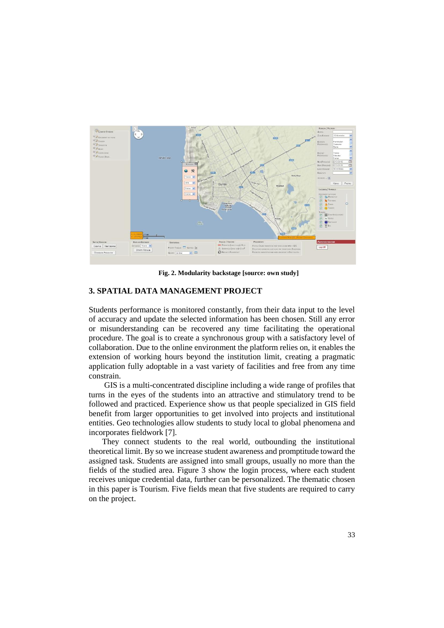

**Fig. 2. Modularity backstage [source: own study]**

#### **3. SPATIAL DATA MANAGEMENT PROJECT**

Students performance is monitored constantly, from their data input to the level of accuracy and update the selected information has been chosen. Still any error or misunderstanding can be recovered any time facilitating the operational procedure. The goal is to create a synchronous group with a satisfactory level of collaboration. Due to the online environment the platform relies on, it enables the extension of working hours beyond the institution limit, creating a pragmatic application fully adoptable in a vast variety of facilities and free from any time constrain.

GIS is a multi-concentrated discipline including a wide range of profiles that turns in the eyes of the students into an attractive and stimulatory trend to be followed and practiced. Experience show us that people specialized in GIS field benefit from larger opportunities to get involved into projects and institutional entities. Geo technologies allow students to study local to global phenomena and incorporates fieldwork [7].

They connect students to the real world, outbounding the institutional theoretical limit. By so we increase student awareness and promptitude toward the assigned task. Students are assigned into small groups, usually no more than the fields of the studied area. Figure 3 show the login process, where each student receives unique credential data, further can be personalized. The thematic chosen in this paper is Tourism. Five fields mean that five students are required to carry on the project.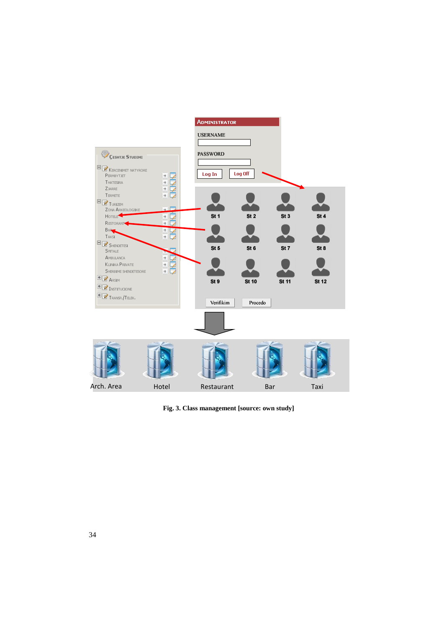

**Fig. 3. Class management [source: own study]**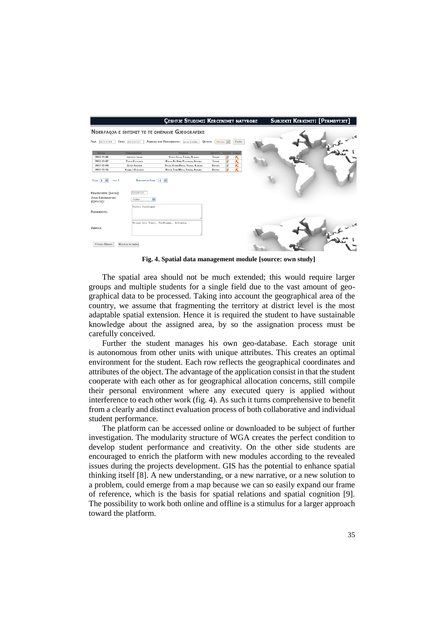|                                                                                           |                                                                               | <b>CESHTJE STUDIMI: KERCENIMET NATYRORE</b>     |                           |           |                         | SUBJEKTI KERKIMIT: [PERMBYTJET] |  |
|-------------------------------------------------------------------------------------------|-------------------------------------------------------------------------------|-------------------------------------------------|---------------------------|-----------|-------------------------|---------------------------------|--|
|                                                                                           |                                                                               | NDERFAQJA E SHTIMIT TE TE DHENAVE GJEOGRAFIKE   |                           |           |                         |                                 |  |
| 2013-01-01<br><b>NGA</b>                                                                  | DERI<br>2013-01-01                                                            | <b>ADRESA OSE PERSHKRIMI:</b><br>zone turistike | <b>OYTETI</b>             | Shkoder V | FILTRO                  |                                 |  |
| <b>DATA</b>                                                                               | PERSHKRIMI                                                                    | <b>ADRESA</b>                                   | <b>QYTETI EDITO FSHIJ</b> |           |                         |                                 |  |
| 2012-11-06                                                                                | REKTORAD TIRANE                                                               | SHESHI ITALIA, TIRAKA, ALBANA                   | TIRANE                    | Ø         | κ                       |                                 |  |
| 2012-11-02                                                                                | PARKU PASKUGAN                                                                | RRUGA AU DEM. PASKUGAN, ALBANA                  | TIRANE                    | V         | $\overline{\textbf{x}}$ |                                 |  |
| 2012-12-04                                                                                | <b>Qyren Stupern</b>                                                          | RRIGA ARBEN BROCK, TIRANA, ALBANIA              | <b>DURRES</b>             | ø         | ĸ                       |                                 |  |
| 2012-11-13                                                                                | Х кама в Коковсет                                                             | RRUSA THIM MITIG, TIRAKA, ALBANA                | <b>D</b> ugges            | Ø         | $\overline{\textbf{x}}$ |                                 |  |
| FAGE 1<br>NGA <sub>1</sub><br>REGJISTRIMI (DATA):<br><b>ZONA GJEOGRAFIKE</b><br>(OVTETI): | REKORDE NE FAGE 4 V<br>2013-01-01<br>Tirane<br>$\checkmark$<br>Parku Paskugan |                                                 |                           |           |                         |                                 |  |
| PERSHKRIMI:                                                                               |                                                                               |                                                 |                           |           |                         |                                 |  |
| ADRESA:<br>KTHEHU MBRAPA                                                                  | MODIFIND TE DHENA                                                             | Rruga Ali Demi, Paskugan, Albania               |                           |           |                         |                                 |  |

**Fig. 4. Spatial data management module [source: own study]**

The spatial area should not be much extended; this would require larger groups and multiple students for a single field due to the vast amount of geographical data to be processed. Taking into account the geographical area of the country, we assume that fragmenting the territory at district level is the most adaptable spatial extension. Hence it is required the student to have sustainable knowledge about the assigned area, by so the assignation process must be carefully conceived.

Further the student manages his own geo-database. Each storage unit is autonomous from other units with unique attributes. This creates an optimal environment for the student. Each row reflects the geographical coordinates and attributes of the object. The advantage of the application consist in that the student cooperate with each other as for geographical allocation concerns, still compile their personal environment where any executed query is applied without interference to each other work (fig. 4). As such it turns comprehensive to benefit from a clearly and distinct evaluation process of both collaborative and individual student performance.

The platform can be accessed online or downloaded to be subject of further investigation. The modularity structure of WGA creates the perfect condition to develop student performance and creativity. On the other side students are encouraged to enrich the platform with new modules according to the revealed issues during the projects development. GIS has the potential to enhance spatial thinking itself [8]. A new understanding, or a new narrative, or a new solution to a problem, could emerge from a map because we can so easily expand our frame of reference, which is the basis for spatial relations and spatial cognition [9]. The possibility to work both online and offline is a stimulus for a larger approach toward the platform.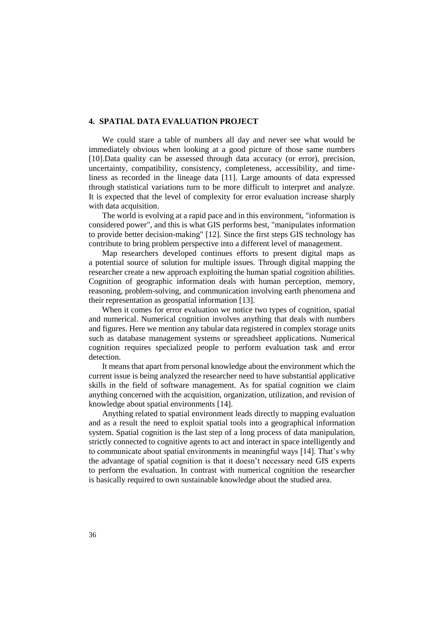#### **4. SPATIAL DATA EVALUATION PROJECT**

We could stare a table of numbers all day and never see what would be immediately obvious when looking at a good picture of those same numbers [10].Data quality can be assessed through data accuracy (or error), precision, uncertainty, compatibility, consistency, completeness, accessibility, and timeliness as recorded in the lineage data [11]. Large amounts of data expressed through statistical variations turn to be more difficult to interpret and analyze. It is expected that the level of complexity for error evaluation increase sharply with data acquisition.

The world is evolving at a rapid pace and in this environment, "information is considered power", and this is what GIS performs best, "manipulates information to provide better decision-making" [12]. Since the first steps GIS technology has contribute to bring problem perspective into a different level of management.

Map researchers developed continues efforts to present digital maps as a potential source of solution for multiple issues. Through digital mapping the researcher create a new approach exploiting the human spatial cognition abilities. Cognition of geographic information deals with human perception, memory, reasoning, problem-solving, and communication involving earth phenomena and their representation as geospatial information [13].

When it comes for error evaluation we notice two types of cognition, spatial and numerical. Numerical cognition involves anything that deals with numbers and figures. Here we mention any tabular data registered in complex storage units such as database management systems or spreadsheet applications. Numerical cognition requires specialized people to perform evaluation task and error detection.

It means that apart from personal knowledge about the environment which the current issue is being analyzed the researcher need to have substantial applicative skills in the field of software management. As for spatial cognition we claim anything concerned with the acquisition, organization, utilization, and revision of knowledge about spatial environments [14].

Anything related to spatial environment leads directly to mapping evaluation and as a result the need to exploit spatial tools into a geographical information system. Spatial cognition is the last step of a long process of data manipulation, strictly connected to cognitive agents to act and interact in space intelligently and to communicate about spatial environments in meaningful ways [14]. That's why the advantage of spatial cognition is that it doesn't necessary need GIS experts to perform the evaluation. In contrast with numerical cognition the researcher is basically required to own sustainable knowledge about the studied area.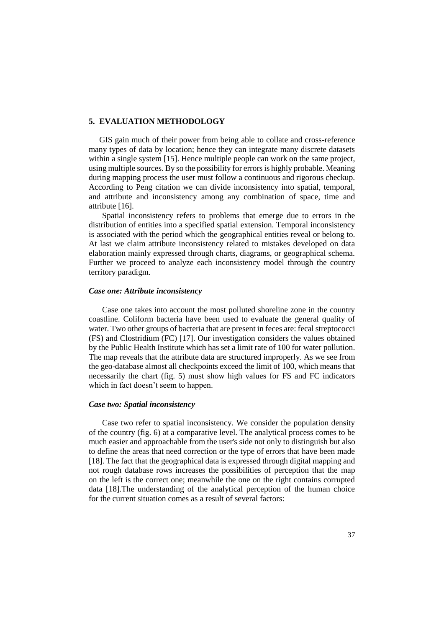#### **5. EVALUATION METHODOLOGY**

GIS gain much of their power from being able to collate and cross-reference many types of data by location; hence they can integrate many discrete datasets within a single system [15]. Hence multiple people can work on the same project, using multiple sources. By so the possibility for errors is highly probable. Meaning during mapping process the user must follow a continuous and rigorous checkup. According to Peng citation we can divide inconsistency into spatial, temporal, and attribute and inconsistency among any combination of space, time and attribute [16].

Spatial inconsistency refers to problems that emerge due to errors in the distribution of entities into a specified spatial extension. Temporal inconsistency is associated with the period which the geographical entities reveal or belong to. At last we claim attribute inconsistency related to mistakes developed on data elaboration mainly expressed through charts, diagrams, or geographical schema. Further we proceed to analyze each inconsistency model through the country territory paradigm.

#### *Case one: Attribute inconsistency*

Case one takes into account the most polluted shoreline zone in the country coastline. Coliform bacteria have been used to evaluate the general quality of water. Two other groups of bacteria that are present in feces are: fecal streptococci (FS) and Clostridium (FC) [17]. Our investigation considers the values obtained by the Public Health Institute which has set a limit rate of 100 for water pollution. The map reveals that the attribute data are structured improperly. As we see from the geo-database almost all checkpoints exceed the limit of 100, which means that necessarily the chart (fig. 5) must show high values for FS and FC indicators which in fact doesn't seem to happen.

#### *Case two: Spatial inconsistency*

Case two refer to spatial inconsistency. We consider the population density of the country (fig. 6) at a comparative level. The analytical process comes to be much easier and approachable from the user's side not only to distinguish but also to define the areas that need correction or the type of errors that have been made [18]. The fact that the geographical data is expressed through digital mapping and not rough database rows increases the possibilities of perception that the map on the left is the correct one; meanwhile the one on the right contains corrupted data [18].The understanding of the analytical perception of the human choice for the current situation comes as a result of several factors: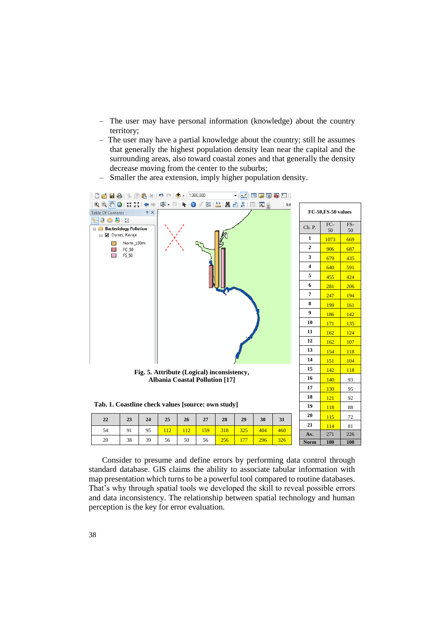- The user may have personal information (knowledge) about the country territory;
- The user may have a partial knowledge about the country; still he assumes that generally the highest population density lean near the capital and the surrounding areas, also toward coastal zones and that generally the density decrease moving from the center to the suburbs;
- Smaller the area extension, imply higher population density.



| 22 | 23  | 24 | $\begin{array}{ c c c } \hline \end{array}$ 25 |                  | $26 \mid 27 \mid$ | 28            | 29  | 30  | 31  |
|----|-----|----|------------------------------------------------|------------------|-------------------|---------------|-----|-----|-----|
| 54 | 91  | 95 |                                                | 112 <sub>l</sub> | 159               | $ 318\rangle$ | 325 | 404 | 460 |
| 20 | -38 | 39 | 56                                             | 50               | 56                | 256'          |     |     | 326 |

Consider to presume and define errors by performing data control through standard database. GIS claims the ability to associate tabular information with map presentation which turns to be a powerful tool compared to routine databases. That's why through spatial tools we developed the skill to reveal possible errors and data inconsistency. The relationship between spatial technology and human perception is the key for error evaluation.

Av. 271 226 **Norm 100 100**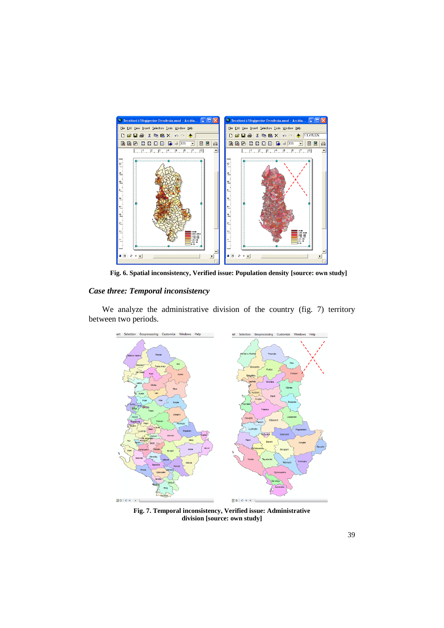

**Fig. 6. Spatial inconsistency, Verified issue: Population density [source: own study]**

## *Case three: Temporal inconsistency*

We analyze the administrative division of the country (fig. 7) territory between two periods.



**Fig. 7. Temporal inconsistency, Verified issue: Administrative division [source: own study]**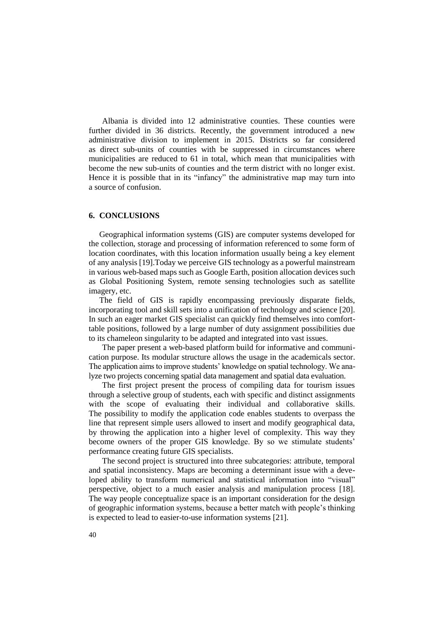Albania is divided into 12 administrative counties. These counties were further divided in 36 districts. Recently, the government introduced a new administrative division to implement in 2015. Districts so far considered as direct sub-units of counties with be suppressed in circumstances where municipalities are reduced to 61 in total, which mean that municipalities with become the new sub-units of counties and the term district with no longer exist. Hence it is possible that in its "infancy" the administrative map may turn into a source of confusion.

#### **6. CONCLUSIONS**

Geographical information systems (GIS) are computer systems developed for the collection, storage and processing of information referenced to some form of location coordinates, with this location information usually being a key element of any analysis [19].Today we perceive GIS technology as a powerful mainstream in various web-based maps such as Google Earth, position allocation devices such as Global Positioning System, remote sensing technologies such as satellite imagery, etc.

The field of GIS is rapidly encompassing previously disparate fields, incorporating tool and skill sets into a unification of technology and science [20]. In such an eager market GIS specialist can quickly find themselves into comforttable positions, followed by a large number of duty assignment possibilities due to its chameleon singularity to be adapted and integrated into vast issues.

The paper present a web-based platform build for informative and communication purpose. Its modular structure allows the usage in the academicals sector. The application aims to improve students' knowledge on spatial technology. We analyze two projects concerning spatial data management and spatial data evaluation.

The first project present the process of compiling data for tourism issues through a selective group of students, each with specific and distinct assignments with the scope of evaluating their individual and collaborative skills. The possibility to modify the application code enables students to overpass the line that represent simple users allowed to insert and modify geographical data, by throwing the application into a higher level of complexity. This way they become owners of the proper GIS knowledge. By so we stimulate students' performance creating future GIS specialists.

The second project is structured into three subcategories: attribute, temporal and spatial inconsistency. Maps are becoming a determinant issue with a developed ability to transform numerical and statistical information into "visual" perspective, object to a much easier analysis and manipulation process [18]. The way people conceptualize space is an important consideration for the design of geographic information systems, because a better match with people's thinking is expected to lead to easier-to-use information systems [21].